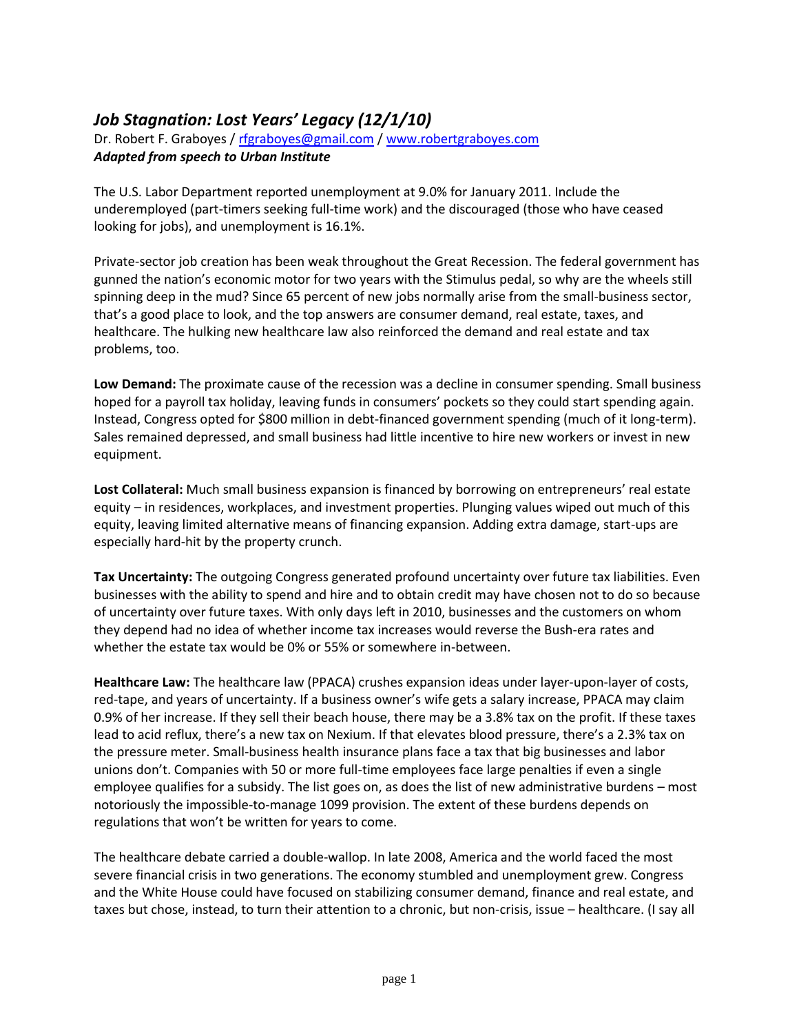## *Job Stagnation: Lost Years' Legacy (12/1/10)*

Dr. Robert F. Graboyes / [rfgraboyes@gmail.com](mailto:rfgraboyes@gmail.com) / [www.robertgraboyes.com](http://www.robertgraboyes.com/) *Adapted from speech to Urban Institute*

The U.S. Labor Department reported unemployment at 9.0% for January 2011. Include the underemployed (part-timers seeking full-time work) and the discouraged (those who have ceased looking for jobs), and unemployment is 16.1%.

Private-sector job creation has been weak throughout the Great Recession. The federal government has gunned the nation's economic motor for two years with the Stimulus pedal, so why are the wheels still spinning deep in the mud? Since 65 percent of new jobs normally arise from the small-business sector, that's a good place to look, and the top answers are consumer demand, real estate, taxes, and healthcare. The hulking new healthcare law also reinforced the demand and real estate and tax problems, too.

**Low Demand:** The proximate cause of the recession was a decline in consumer spending. Small business hoped for a payroll tax holiday, leaving funds in consumers' pockets so they could start spending again. Instead, Congress opted for \$800 million in debt-financed government spending (much of it long-term). Sales remained depressed, and small business had little incentive to hire new workers or invest in new equipment.

**Lost Collateral:** Much small business expansion is financed by borrowing on entrepreneurs' real estate equity – in residences, workplaces, and investment properties. Plunging values wiped out much of this equity, leaving limited alternative means of financing expansion. Adding extra damage, start-ups are especially hard-hit by the property crunch.

**Tax Uncertainty:** The outgoing Congress generated profound uncertainty over future tax liabilities. Even businesses with the ability to spend and hire and to obtain credit may have chosen not to do so because of uncertainty over future taxes. With only days left in 2010, businesses and the customers on whom they depend had no idea of whether income tax increases would reverse the Bush-era rates and whether the estate tax would be 0% or 55% or somewhere in-between.

**Healthcare Law:** The healthcare law (PPACA) crushes expansion ideas under layer-upon-layer of costs, red-tape, and years of uncertainty. If a business owner's wife gets a salary increase, PPACA may claim 0.9% of her increase. If they sell their beach house, there may be a 3.8% tax on the profit. If these taxes lead to acid reflux, there's a new tax on Nexium. If that elevates blood pressure, there's a 2.3% tax on the pressure meter. Small-business health insurance plans face a tax that big businesses and labor unions don't. Companies with 50 or more full-time employees face large penalties if even a single employee qualifies for a subsidy. The list goes on, as does the list of new administrative burdens – most notoriously the impossible-to-manage 1099 provision. The extent of these burdens depends on regulations that won't be written for years to come.

The healthcare debate carried a double-wallop. In late 2008, America and the world faced the most severe financial crisis in two generations. The economy stumbled and unemployment grew. Congress and the White House could have focused on stabilizing consumer demand, finance and real estate, and taxes but chose, instead, to turn their attention to a chronic, but non-crisis, issue – healthcare. (I say all